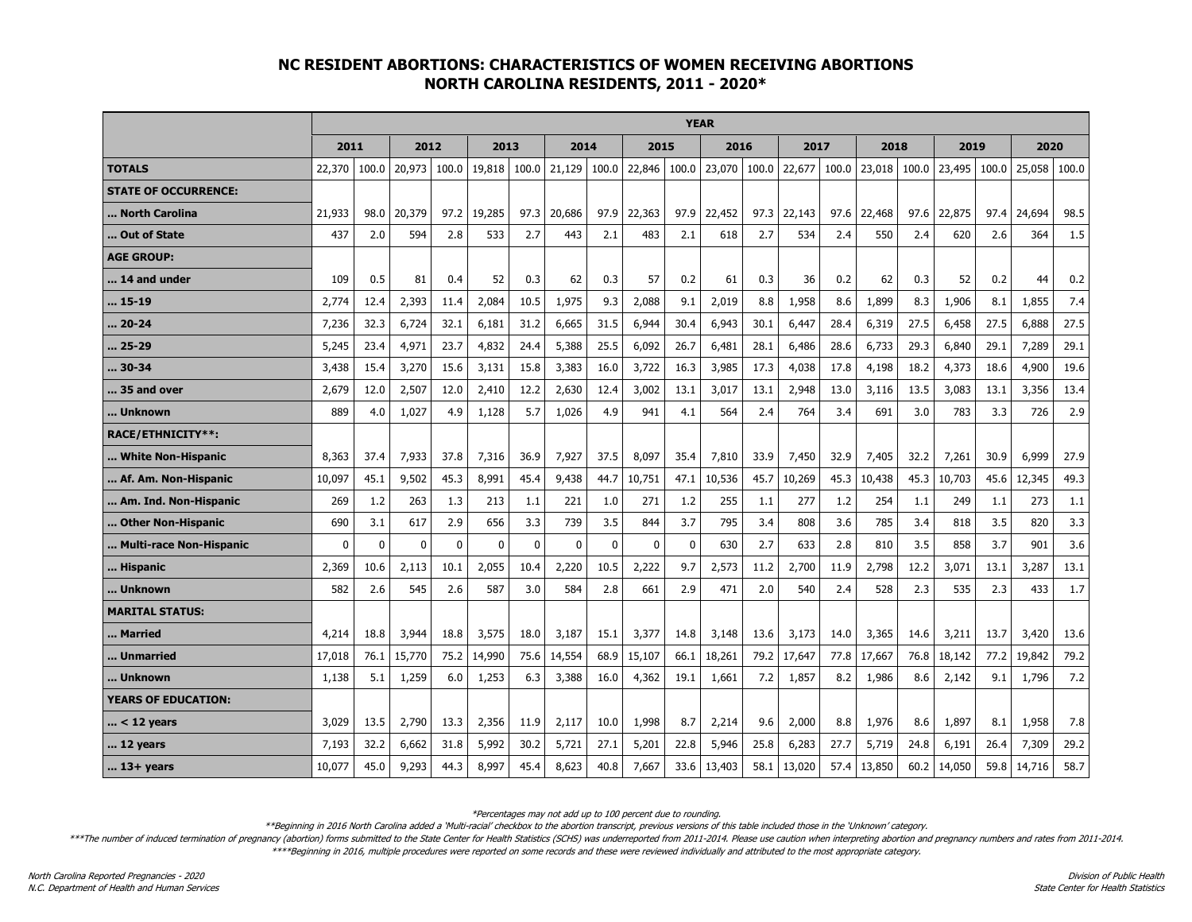## **NC RESIDENT ABORTIONS: CHARACTERISTICS OF WOMEN RECEIVING ABORTIONS NORTH CAROLINA RESIDENTS, 2011 - 2020\***

|                             | <b>YEAR</b>  |              |          |              |          |              |              |             |             |             |        |       |        |       |        |       |        |       |        |       |
|-----------------------------|--------------|--------------|----------|--------------|----------|--------------|--------------|-------------|-------------|-------------|--------|-------|--------|-------|--------|-------|--------|-------|--------|-------|
|                             | 2011         |              | 2012     |              | 2013     |              | 2014         |             | 2015        |             | 2016   |       | 2017   |       | 2018   |       | 2019   |       | 2020   |       |
| <b>TOTALS</b>               | 22,370       | 100.0        | 20,973   | 100.0        | 19,818   | 100.0        | 21,129       | 100.0       | 22,846      | 100.0       | 23,070 | 100.0 | 22,677 | 100.0 | 23,018 | 100.0 | 23,495 | 100.0 | 25,058 | 100.0 |
| <b>STATE OF OCCURRENCE:</b> |              |              |          |              |          |              |              |             |             |             |        |       |        |       |        |       |        |       |        |       |
| North Carolina              | 21,933       | 98.0         | 20,379   | 97.2         | 19,285   | 97.3         | 20,686       | 97.9        | 22,363      | 97.9        | 22,452 | 97.3  | 22,143 | 97.6  | 22,468 | 97.6  | 22,875 | 97.4  | 24,694 | 98.5  |
| Out of State                | 437          | 2.0          | 594      | 2.8          | 533      | 2.7          | 443          | 2.1         | 483         | 2.1         | 618    | 2.7   | 534    | 2.4   | 550    | 2.4   | 620    | 2.6   | 364    | 1.5   |
| <b>AGE GROUP:</b>           |              |              |          |              |          |              |              |             |             |             |        |       |        |       |        |       |        |       |        |       |
| 14 and under                | 109          | 0.5          | 81       | 0.4          | 52       | 0.3          | 62           | 0.3         | 57          | 0.2         | 61     | 0.3   | 36     | 0.2   | 62     | 0.3   | 52     | 0.2   | 44     | 0.2   |
| 15-19                       | 2,774        | 12.4         | 2,393    | 11.4         | 2,084    | 10.5         | 1,975        | 9.3         | 2,088       | 9.1         | 2,019  | 8.8   | 1,958  | 8.6   | 1,899  | 8.3   | 1,906  | 8.1   | 1,855  | 7.4   |
| 20-24                       | 7,236        | 32.3         | 6,724    | 32.1         | 6,181    | 31.2         | 6,665        | 31.5        | 6,944       | 30.4        | 6,943  | 30.1  | 6,447  | 28.4  | 6,319  | 27.5  | 6,458  | 27.5  | 6,888  | 27.5  |
| 25-29                       | 5,245        | 23.4         | 4,971    | 23.7         | 4,832    | 24.4         | 5,388        | 25.5        | 6,092       | 26.7        | 6,481  | 28.1  | 6,486  | 28.6  | 6,733  | 29.3  | 6,840  | 29.1  | 7,289  | 29.1  |
| 30-34                       | 3,438        | 15.4         | 3,270    | 15.6         | 3,131    | 15.8         | 3,383        | 16.0        | 3,722       | 16.3        | 3,985  | 17.3  | 4,038  | 17.8  | 4,198  | 18.2  | 4,373  | 18.6  | 4,900  | 19.6  |
| 35 and over                 | 2,679        | 12.0         | 2,507    | 12.0         | 2,410    | 12.2         | 2,630        | 12.4        | 3,002       | 13.1        | 3,017  | 13.1  | 2,948  | 13.0  | 3,116  | 13.5  | 3,083  | 13.1  | 3,356  | 13.4  |
| Unknown                     | 889          | 4.0          | 1,027    | 4.9          | 1,128    | 5.7          | 1,026        | 4.9         | 941         | 4.1         | 564    | 2.4   | 764    | 3.4   | 691    | 3.0   | 783    | 3.3   | 726    | 2.9   |
| RACE/ETHNICITY**:           |              |              |          |              |          |              |              |             |             |             |        |       |        |       |        |       |        |       |        |       |
| White Non-Hispanic          | 8,363        | 37.4         | 7,933    | 37.8         | 7,316    | 36.9         | 7,927        | 37.5        | 8,097       | 35.4        | 7,810  | 33.9  | 7,450  | 32.9  | 7,405  | 32.2  | 7,261  | 30.9  | 6,999  | 27.9  |
| Af. Am. Non-Hispanic        | 10,097       | 45.1         | 9,502    | 45.3         | 8,991    | 45.4         | 9,438        | 44.7        | 10,751      | 47.1        | 10,536 | 45.7  | 10,269 | 45.3  | 10,438 | 45.3  | 10,703 | 45.6  | 12,345 | 49.3  |
| Am. Ind. Non-Hispanic       | 269          | 1.2          | 263      | 1.3          | 213      | 1.1          | 221          | 1.0         | 271         | 1.2         | 255    | 1.1   | 277    | 1.2   | 254    | 1.1   | 249    | 1.1   | 273    | 1.1   |
| Other Non-Hispanic          | 690          | 3.1          | 617      | 2.9          | 656      | 3.3          | 739          | 3.5         | 844         | 3.7         | 795    | 3.4   | 808    | 3.6   | 785    | 3.4   | 818    | 3.5   | 820    | 3.3   |
| Multi-race Non-Hispanic     | $\mathbf{0}$ | $\mathbf{0}$ | $\Omega$ | $\mathbf{0}$ | $\Omega$ | $\mathbf{0}$ | $\mathbf{0}$ | $\mathbf 0$ | $\mathbf 0$ | $\mathbf 0$ | 630    | 2.7   | 633    | 2.8   | 810    | 3.5   | 858    | 3.7   | 901    | 3.6   |
| Hispanic                    | 2,369        | 10.6         | 2,113    | 10.1         | 2,055    | 10.4         | 2,220        | 10.5        | 2,222       | 9.7         | 2,573  | 11.2  | 2,700  | 11.9  | 2,798  | 12.2  | 3,071  | 13.1  | 3,287  | 13.1  |
| Unknown                     | 582          | 2.6          | 545      | 2.6          | 587      | 3.0          | 584          | 2.8         | 661         | 2.9         | 471    | 2.0   | 540    | 2.4   | 528    | 2.3   | 535    | 2.3   | 433    | 1.7   |
| <b>MARITAL STATUS:</b>      |              |              |          |              |          |              |              |             |             |             |        |       |        |       |        |       |        |       |        |       |
| Married                     | 4,214        | 18.8         | 3,944    | 18.8         | 3,575    | 18.0         | 3,187        | 15.1        | 3,377       | 14.8        | 3,148  | 13.6  | 3,173  | 14.0  | 3,365  | 14.6  | 3,211  | 13.7  | 3,420  | 13.6  |
| Unmarried                   | 17,018       | 76.1         | 15,770   | 75.2         | 14,990   | 75.6         | 14,554       | 68.9        | 15,107      | 66.1        | 18,261 | 79.2  | 17,647 | 77.8  | 17,667 | 76.8  | 18,142 | 77.2  | 19,842 | 79.2  |
| Unknown                     | 1,138        | 5.1          | 1,259    | 6.0          | 1,253    | 6.3          | 3,388        | 16.0        | 4,362       | 19.1        | 1,661  | 7.2   | 1,857  | 8.2   | 1,986  | 8.6   | 2,142  | 9.1   | 1,796  | 7.2   |
| <b>YEARS OF EDUCATION:</b>  |              |              |          |              |          |              |              |             |             |             |        |       |        |       |        |       |        |       |        |       |
| $ < 12$ years               | 3,029        | 13.5         | 2,790    | 13.3         | 2,356    | 11.9         | 2,117        | 10.0        | 1,998       | 8.7         | 2,214  | 9.6   | 2,000  | 8.8   | 1,976  | 8.6   | 1,897  | 8.1   | 1,958  | 7.8   |
| 12 years                    | 7,193        | 32.2         | 6,662    | 31.8         | 5,992    | 30.2         | 5,721        | 27.1        | 5,201       | 22.8        | 5,946  | 25.8  | 6,283  | 27.7  | 5,719  | 24.8  | 6,191  | 26.4  | 7,309  | 29.2  |
| $$ 13+ years                | 10,077       | 45.0         | 9,293    | 44.3         | 8,997    | 45.4         | 8,623        | 40.8        | 7,667       | 33.6        | 13,403 | 58.1  | 13,020 | 57.4  | 13,850 | 60.2  | 14,050 | 59.8  | 14,716 | 58.7  |

\*Percentages may not add up to 100 percent due to rounding.

\*\*Beginning in 2016 North Carolina added a 'Multi-racial' checkbox to the abortion transcript, previous versions of this table included those in the 'Unknown' category.

\*\*\*The number of induced termination of pregnancy (abortion) forms submitted to the State Center for Health Statistics (SCHS) was underreported from 2011-2014. Please use caution when interpreting abortion and pregnancy nu

\*\*\*\*Beginning in 2016, multiple procedures were reported on some records and these were reviewed individually and attributed to the most appropriate category.